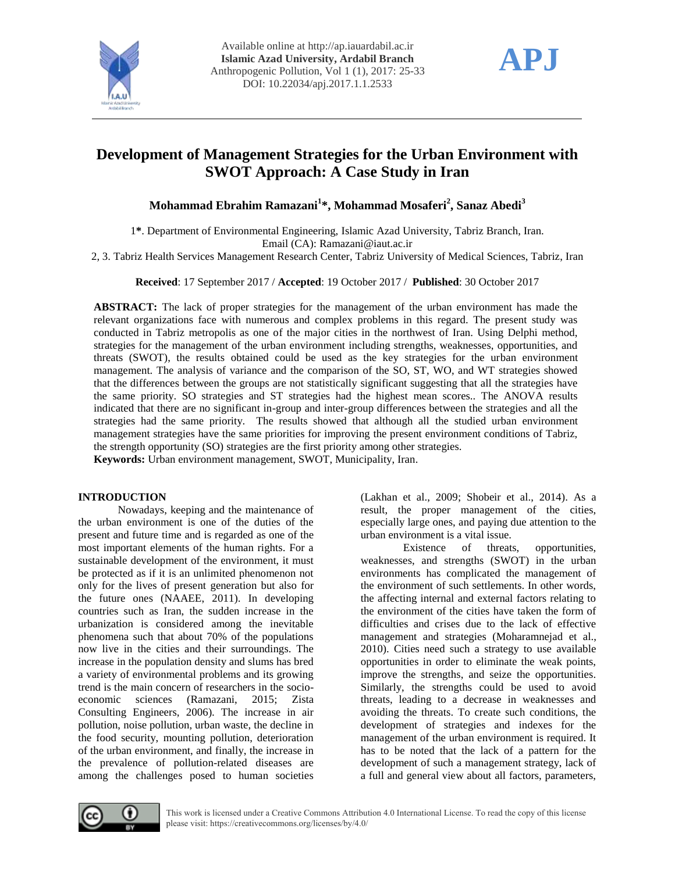



# **Development of Management Strategies for the Urban Environment with SWOT Approach: A Case Study in Iran**

## **Mohammad Ebrahim Ramazani<sup>1</sup> \*, Mohammad Mosaferi<sup>2</sup> , Sanaz Abedi<sup>3</sup>**

1**\***. Department of Environmental Engineering, Islamic Azad University, Tabriz Branch, Iran. Email (CA): [Ramazani@iaut.ac.ir](mailto:Ramazani@iaut.ac.ir) 

2, 3. Tabriz Health Services Management Research Center, Tabriz University of Medical Sciences, Tabriz, Iran

**Received**: 17 September 2017 / **Accepted**: 19 October 2017 / **Published**: 30 October 2017

**ABSTRACT:** The lack of proper strategies for the management of the urban environment has made the relevant organizations face with numerous and complex problems in this regard. The present study was conducted in Tabriz metropolis as one of the major cities in the northwest of Iran. Using Delphi method, strategies for the management of the urban environment including strengths, weaknesses, opportunities, and threats (SWOT), the results obtained could be used as the key strategies for the urban environment management. The analysis of variance and the comparison of the SO, ST, WO, and WT strategies showed that the differences between the groups are not statistically significant suggesting that all the strategies have the same priority. SO strategies and ST strategies had the highest mean scores.. The ANOVA results indicated that there are no significant in-group and inter-group differences between the strategies and all the strategies had the same priority. The results showed that although all the studied urban environment management strategies have the same priorities for improving the present environment conditions of Tabriz, the strength opportunity (SO) strategies are the first priority among other strategies.

**Keywords:** Urban environment management, SWOT, Municipality, Iran.

### **INTRODUCTION**

Nowadays, keeping and the maintenance of the urban environment is one of the duties of the present and future time and is regarded as one of the most important elements of the human rights. For a sustainable development of the environment, it must be protected as if it is an unlimited phenomenon not only for the lives of present generation but also for the future ones (NAAEE, 2011). In developing countries such as Iran, the sudden increase in the urbanization is considered among the inevitable phenomena such that about 70% of the populations now live in the cities and their surroundings. The increase in the population density and slums has bred a variety of environmental problems and its growing trend is the main concern of researchers in the socioeconomic sciences (Ramazani, 2015; Zista Consulting Engineers, 2006). The increase in air pollution, noise pollution, urban waste, the decline in the food security, mounting pollution, deterioration of the urban environment, and finally, the increase in the prevalence of pollution-related diseases are among the challenges posed to human societies

(Lakhan et al., 2009; Shobeir et al., 2014). As a result, the proper management of the cities, especially large ones, and paying due attention to the urban environment is a vital issue.

Existence of threats, opportunities, weaknesses, and strengths (SWOT) in the urban environments has complicated the management of the environment of such settlements. In other words, the affecting internal and external factors relating to the environment of the cities have taken the form of difficulties and crises due to the lack of effective management and strategies (Moharamnejad et al., 2010). Cities need such a strategy to use available opportunities in order to eliminate the weak points, improve the strengths, and seize the opportunities. Similarly, the strengths could be used to avoid threats, leading to a decrease in weaknesses and avoiding the threats. To create such conditions, the development of strategies and indexes for the management of the urban environment is required. It has to be noted that the lack of a pattern for the development of such a management strategy, lack of a full and general view about all factors, parameters,

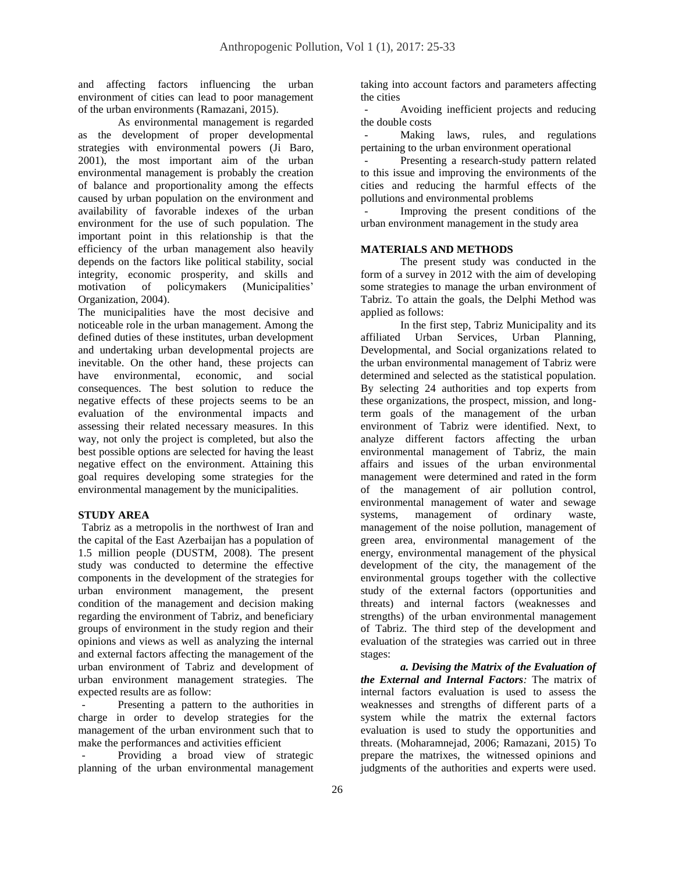and affecting factors influencing the urban environment of cities can lead to poor management of the urban environments (Ramazani, 2015).

As environmental management is regarded as the development of proper developmental strategies with environmental powers (Ji Baro, 2001), the most important aim of the urban environmental management is probably the creation of balance and proportionality among the effects caused by urban population on the environment and availability of favorable indexes of the urban environment for the use of such population. The important point in this relationship is that the efficiency of the urban management also heavily depends on the factors like political stability, social integrity, economic prosperity, and skills and motivation of policymakers (Municipalities' Organization, 2004).

The municipalities have the most decisive and noticeable role in the urban management. Among the defined duties of these institutes, urban development and undertaking urban developmental projects are inevitable. On the other hand, these projects can have environmental, economic, and social consequences. The best solution to reduce the negative effects of these projects seems to be an evaluation of the environmental impacts and assessing their related necessary measures. In this way, not only the project is completed, but also the best possible options are selected for having the least negative effect on the environment. Attaining this goal requires developing some strategies for the environmental management by the municipalities.

### **STUDY AREA**

Tabriz as a metropolis in the northwest of Iran and the capital of the East Azerbaijan has a population of 1.5 million people (DUSTM, 2008). The present study was conducted to determine the effective components in the development of the strategies for urban environment management, the present condition of the management and decision making regarding the environment of Tabriz, and beneficiary groups of environment in the study region and their opinions and views as well as analyzing the internal and external factors affecting the management of the urban environment of Tabriz and development of urban environment management strategies. The expected results are as follow:

Presenting a pattern to the authorities in charge in order to develop strategies for the management of the urban environment such that to make the performances and activities efficient

Providing a broad view of strategic planning of the urban environmental management

taking into account factors and parameters affecting the cities

- Avoiding inefficient projects and reducing the double costs

Making laws, rules, and regulations pertaining to the urban environment operational

Presenting a research-study pattern related to this issue and improving the environments of the cities and reducing the harmful effects of the pollutions and environmental problems

Improving the present conditions of the urban environment management in the study area

### **MATERIALS AND METHODS**

The present study was conducted in the form of a survey in 2012 with the aim of developing some strategies to manage the urban environment of Tabriz. To attain the goals, the Delphi Method was applied as follows:

In the first step, Tabriz Municipality and its affiliated Urban Services, Urban Planning, Developmental, and Social organizations related to the urban environmental management of Tabriz were determined and selected as the statistical population. By selecting 24 authorities and top experts from these organizations, the prospect, mission, and longterm goals of the management of the urban environment of Tabriz were identified. Next, to analyze different factors affecting the urban environmental management of Tabriz, the main affairs and issues of the urban environmental management were determined and rated in the form of the management of air pollution control, environmental management of water and sewage systems, management of ordinary waste, management of the noise pollution, management of green area, environmental management of the energy, environmental management of the physical development of the city, the management of the environmental groups together with the collective study of the external factors (opportunities and threats) and internal factors (weaknesses and strengths) of the urban environmental management of Tabriz. The third step of the development and evaluation of the strategies was carried out in three stages:

*a. Devising the Matrix of the Evaluation of the External and Internal Factors:* The matrix of internal factors evaluation is used to assess the weaknesses and strengths of different parts of a system while the matrix the external factors evaluation is used to study the opportunities and threats. (Moharamnejad, 2006; Ramazani, 2015) To prepare the matrixes, the witnessed opinions and judgments of the authorities and experts were used.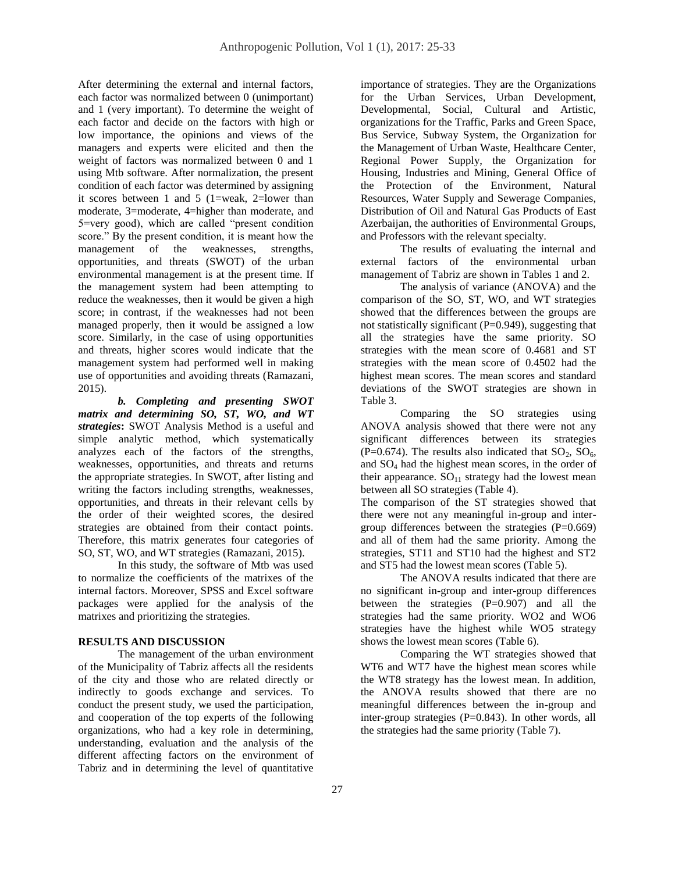After determining the external and internal factors, each factor was normalized between 0 (unimportant) and 1 (very important). To determine the weight of each factor and decide on the factors with high or low importance, the opinions and views of the managers and experts were elicited and then the weight of factors was normalized between 0 and 1 using Mtb software. After normalization, the present condition of each factor was determined by assigning it scores between 1 and 5 (1=weak, 2=lower than moderate, 3=moderate, 4=higher than moderate, and 5=very good), which are called "present condition score." By the present condition, it is meant how the management of the weaknesses, strengths, opportunities, and threats (SWOT) of the urban environmental management is at the present time. If the management system had been attempting to reduce the weaknesses, then it would be given a high score; in contrast, if the weaknesses had not been managed properly, then it would be assigned a low score. Similarly, in the case of using opportunities and threats, higher scores would indicate that the management system had performed well in making use of opportunities and avoiding threats (Ramazani, 2015).

*b. Completing and presenting SWOT matrix and determining SO, ST, WO, and WT strategies***:** SWOT Analysis Method is a useful and simple analytic method, which systematically analyzes each of the factors of the strengths, weaknesses, opportunities, and threats and returns the appropriate strategies. In SWOT, after listing and writing the factors including strengths, weaknesses, opportunities, and threats in their relevant cells by the order of their weighted scores, the desired strategies are obtained from their contact points. Therefore, this matrix generates four categories of SO, ST, WO, and WT strategies (Ramazani, 2015).

In this study, the software of Mtb was used to normalize the coefficients of the matrixes of the internal factors. Moreover, SPSS and Excel software packages were applied for the analysis of the matrixes and prioritizing the strategies.

### **RESULTS AND DISCUSSION**

The management of the urban environment of the Municipality of Tabriz affects all the residents of the city and those who are related directly or indirectly to goods exchange and services. To conduct the present study, we used the participation, and cooperation of the top experts of the following organizations, who had a key role in determining, understanding, evaluation and the analysis of the different affecting factors on the environment of Tabriz and in determining the level of quantitative

importance of strategies. They are the Organizations for the Urban Services, Urban Development, Developmental, Social, Cultural and Artistic, organizations for the Traffic, Parks and Green Space, Bus Service, Subway System, the Organization for the Management of Urban Waste, Healthcare Center, Regional Power Supply, the Organization for Housing, Industries and Mining, General Office of the Protection of the Environment, Natural Resources, Water Supply and Sewerage Companies, Distribution of Oil and Natural Gas Products of East Azerbaijan, the authorities of Environmental Groups, and Professors with the relevant specialty.

The results of evaluating the internal and external factors of the environmental urban management of Tabriz are shown in Tables 1 and 2.

The analysis of variance (ANOVA) and the comparison of the SO, ST, WO, and WT strategies showed that the differences between the groups are not statistically significant  $(P=0.949)$ , suggesting that all the strategies have the same priority. SO strategies with the mean score of 0.4681 and ST strategies with the mean score of 0.4502 had the highest mean scores. The mean scores and standard deviations of the SWOT strategies are shown in Table 3.

Comparing the SO strategies using ANOVA analysis showed that there were not any significant differences between its strategies (P=0.674). The results also indicated that  $SO_2$ ,  $SO_6$ , and SO<sup>4</sup> had the highest mean scores, in the order of their appearance.  $SO_{11}$  strategy had the lowest mean between all SO strategies (Table 4).

The comparison of the ST strategies showed that there were not any meaningful in-group and intergroup differences between the strategies  $(P=0.669)$ and all of them had the same priority. Among the strategies, ST11 and ST10 had the highest and ST2 and ST5 had the lowest mean scores (Table 5).

The ANOVA results indicated that there are no significant in-group and inter-group differences between the strategies (P=0.907) and all the strategies had the same priority. WO2 and WO6 strategies have the highest while WO5 strategy shows the lowest mean scores (Table 6).

Comparing the WT strategies showed that WT6 and WT7 have the highest mean scores while the WT8 strategy has the lowest mean. In addition, the ANOVA results showed that there are no meaningful differences between the in-group and inter-group strategies  $(P=0.843)$ . In other words, all the strategies had the same priority (Table 7).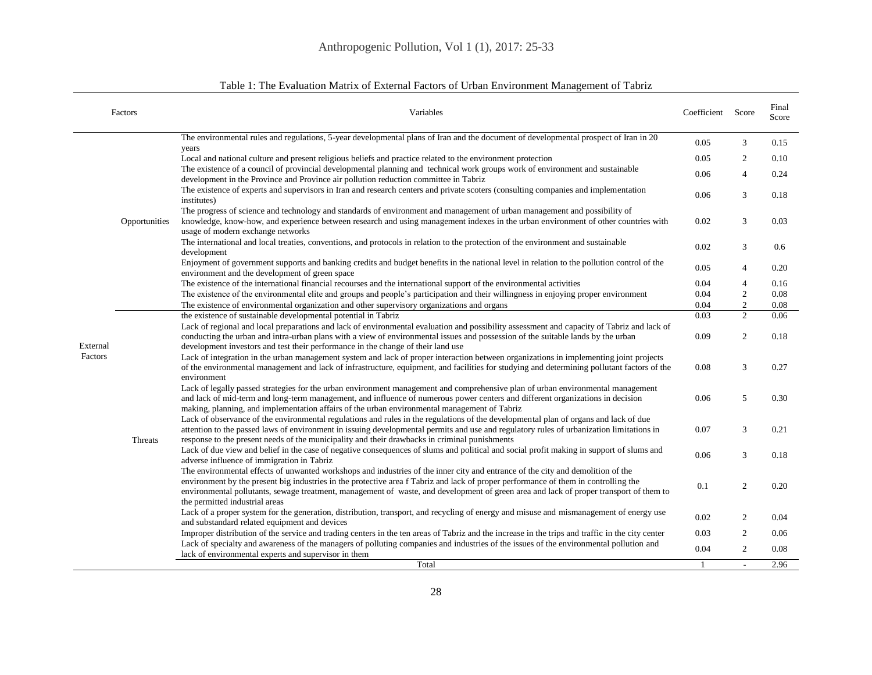|          | Factors       | Variables                                                                                                                                                                                                                                                                                                                                                                                                                                          | Coefficient Score |                | Final<br>Score |
|----------|---------------|----------------------------------------------------------------------------------------------------------------------------------------------------------------------------------------------------------------------------------------------------------------------------------------------------------------------------------------------------------------------------------------------------------------------------------------------------|-------------------|----------------|----------------|
|          |               | The environmental rules and regulations, 5-year developmental plans of Iran and the document of developmental prospect of Iran in 20                                                                                                                                                                                                                                                                                                               | 0.05              | 3              | 0.15           |
|          |               | years<br>Local and national culture and present religious beliefs and practice related to the environment protection                                                                                                                                                                                                                                                                                                                               | 0.05              | 2              | 0.10           |
|          |               | The existence of a council of provincial developmental planning and technical work groups work of environment and sustainable<br>development in the Province and Province air pollution reduction committee in Tabriz                                                                                                                                                                                                                              | 0.06              | $\overline{4}$ | 0.24           |
|          |               | The existence of experts and supervisors in Iran and research centers and private scoters (consulting companies and implementation<br>institutes)                                                                                                                                                                                                                                                                                                  | 0.06              | 3              | 0.18           |
|          | Opportunities | The progress of science and technology and standards of environment and management of urban management and possibility of<br>knowledge, know-how, and experience between research and using management indexes in the urban environment of other countries with<br>usage of modern exchange networks                                                                                                                                               | 0.02              | 3              | 0.03           |
|          |               | The international and local treaties, conventions, and protocols in relation to the protection of the environment and sustainable<br>development                                                                                                                                                                                                                                                                                                   | 0.02              | 3              | 0.6            |
|          |               | Enjoyment of government supports and banking credits and budget benefits in the national level in relation to the pollution control of the<br>environment and the development of green space                                                                                                                                                                                                                                                       | 0.05              | $\overline{4}$ | 0.20           |
|          |               | The existence of the international financial recourses and the international support of the environmental activities                                                                                                                                                                                                                                                                                                                               | 0.04              | $\overline{4}$ | 0.16           |
|          |               | The existence of the environmental elite and groups and people's participation and their willingness in enjoying proper environment                                                                                                                                                                                                                                                                                                                | 0.04              | $\overline{2}$ | 0.08           |
|          |               | The existence of environmental organization and other supervisory organizations and organs                                                                                                                                                                                                                                                                                                                                                         | 0.04              | $\overline{2}$ | 0.08           |
|          |               | the existence of sustainable developmental potential in Tabriz                                                                                                                                                                                                                                                                                                                                                                                     | 0.03              | 2              | 0.06           |
| External |               | Lack of regional and local preparations and lack of environmental evaluation and possibility assessment and capacity of Tabriz and lack of<br>conducting the urban and intra-urban plans with a view of environmental issues and possession of the suitable lands by the urban<br>development investors and test their performance in the change of their land use                                                                                 | 0.09              | 2              | 0.18           |
| Factors  |               | Lack of integration in the urban management system and lack of proper interaction between organizations in implementing joint projects<br>of the environmental management and lack of infrastructure, equipment, and facilities for studying and determining pollutant factors of the<br>environment                                                                                                                                               | 0.08              | 3              | 0.27           |
|          |               | Lack of legally passed strategies for the urban environment management and comprehensive plan of urban environmental management<br>and lack of mid-term and long-term management, and influence of numerous power centers and different organizations in decision<br>making, planning, and implementation affairs of the urban environmental management of Tabriz                                                                                  | 0.06              | 5              | 0.30           |
|          | Threats       | Lack of observance of the environmental regulations and rules in the regulations of the developmental plan of organs and lack of due<br>attention to the passed laws of environment in issuing developmental permits and use and regulatory rules of urbanization limitations in<br>response to the present needs of the municipality and their drawbacks in criminal punishments                                                                  | 0.07              | 3              | 0.21           |
|          |               | Lack of due view and belief in the case of negative consequences of slums and political and social profit making in support of slums and<br>adverse influence of immigration in Tabriz                                                                                                                                                                                                                                                             | 0.06              | 3              | 0.18           |
|          |               | The environmental effects of unwanted workshops and industries of the inner city and entrance of the city and demolition of the<br>environment by the present big industries in the protective area f Tabriz and lack of proper performance of them in controlling the<br>environmental pollutants, sewage treatment, management of waste, and development of green area and lack of proper transport of them to<br>the permitted industrial areas | 0.1               | 2              | 0.20           |
|          |               | Lack of a proper system for the generation, distribution, transport, and recycling of energy and misuse and mismanagement of energy use<br>and substandard related equipment and devices                                                                                                                                                                                                                                                           | 0.02              | 2              | 0.04           |
|          |               | Improper distribution of the service and trading centers in the ten areas of Tabriz and the increase in the trips and traffic in the city center                                                                                                                                                                                                                                                                                                   | 0.03              | 2              | 0.06           |
|          |               | Lack of specialty and awareness of the managers of polluting companies and industries of the issues of the environmental pollution and<br>lack of environmental experts and supervisor in them                                                                                                                                                                                                                                                     | 0.04              | 2              | 0.08           |
|          |               | Total                                                                                                                                                                                                                                                                                                                                                                                                                                              | -1                | $\sim$         | 2.96           |

## Table 1: The Evaluation Matrix of External Factors of Urban Environment Management of Tabriz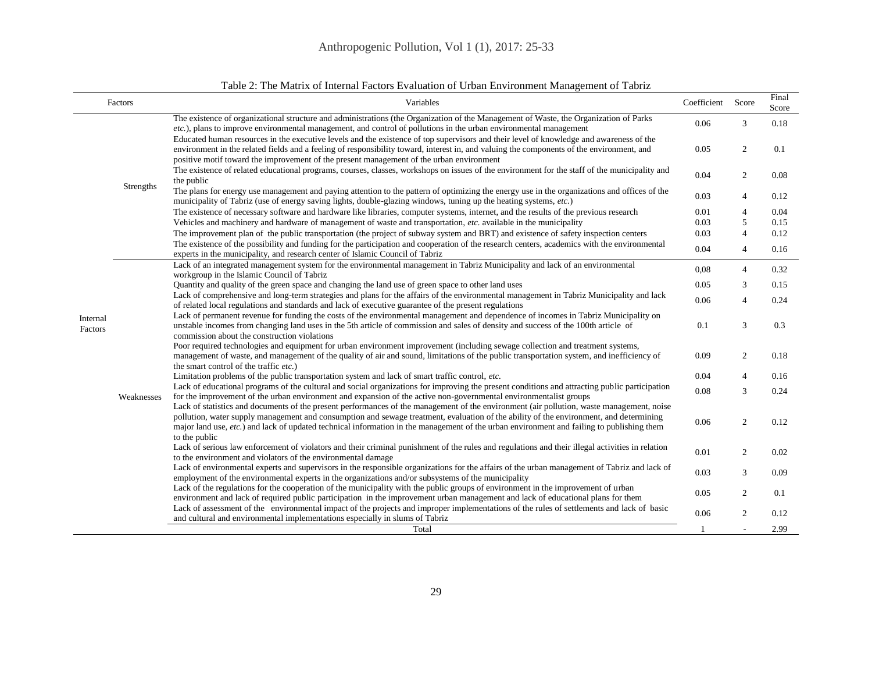| Factors             |            | Variables                                                                                                                                                                                                                                                                                                                                                                                                                                            | Coefficient | Score          | Final<br>Score |
|---------------------|------------|------------------------------------------------------------------------------------------------------------------------------------------------------------------------------------------------------------------------------------------------------------------------------------------------------------------------------------------------------------------------------------------------------------------------------------------------------|-------------|----------------|----------------|
|                     |            | The existence of organizational structure and administrations (the Organization of the Management of Waste, the Organization of Parks<br>$etc.$ ), plans to improve environmental management, and control of pollutions in the urban environmental management                                                                                                                                                                                        | 0.06        | 3              | 0.18           |
|                     |            | Educated human resources in the executive levels and the existence of top supervisors and their level of knowledge and awareness of the<br>environment in the related fields and a feeling of responsibility toward, interest in, and valuing the components of the environment, and<br>positive motif toward the improvement of the present management of the urban environment                                                                     | 0.05        | 2              | 0.1            |
|                     |            | The existence of related educational programs, courses, classes, workshops on issues of the environment for the staff of the municipality and<br>the public                                                                                                                                                                                                                                                                                          | 0.04        | $\overline{2}$ | 0.08           |
|                     | Strengths  | The plans for energy use management and paying attention to the pattern of optimizing the energy use in the organizations and offices of the<br>municipality of Tabriz (use of energy saving lights, double-glazing windows, tuning up the heating systems, etc.)                                                                                                                                                                                    | 0.03        | $\overline{4}$ | 0.12           |
|                     |            | The existence of necessary software and hardware like libraries, computer systems, internet, and the results of the previous research                                                                                                                                                                                                                                                                                                                | 0.01        | $\overline{4}$ | 0.04           |
|                     |            | Vehicles and machinery and hardware of management of waste and transportation, etc. available in the municipality                                                                                                                                                                                                                                                                                                                                    | 0.03        | 5              | 0.15           |
|                     |            | The improvement plan of the public transportation (the project of subway system and BRT) and existence of safety inspection centers                                                                                                                                                                                                                                                                                                                  | 0.03        | $\overline{4}$ | 0.12           |
|                     |            | The existence of the possibility and funding for the participation and cooperation of the research centers, academics with the environmental<br>experts in the municipality, and research center of Islamic Council of Tabriz                                                                                                                                                                                                                        | 0.04        | $\overline{4}$ | 0.16           |
|                     |            | Lack of an integrated management system for the environmental management in Tabriz Municipality and lack of an environmental<br>workgroup in the Islamic Council of Tabriz                                                                                                                                                                                                                                                                           | 0,08        | $\overline{4}$ | 0.32           |
|                     |            | Quantity and quality of the green space and changing the land use of green space to other land uses                                                                                                                                                                                                                                                                                                                                                  | 0.05        | 3              | 0.15           |
|                     |            | Lack of comprehensive and long-term strategies and plans for the affairs of the environmental management in Tabriz Municipality and lack<br>of related local regulations and standards and lack of executive guarantee of the present regulations                                                                                                                                                                                                    | 0.06        | $\overline{4}$ | 0.24           |
| Internal<br>Factors |            | Lack of permanent revenue for funding the costs of the environmental management and dependence of incomes in Tabriz Municipality on<br>unstable incomes from changing land uses in the 5th article of commission and sales of density and success of the 100th article of<br>commission about the construction violations                                                                                                                            | 0.1         | 3              | 0.3            |
|                     |            | Poor required technologies and equipment for urban environment improvement (including sewage collection and treatment systems,<br>management of waste, and management of the quality of air and sound, limitations of the public transportation system, and inefficiency of<br>the smart control of the traffic etc.)                                                                                                                                | 0.09        | 2              | 0.18           |
|                     |            | Limitation problems of the public transportation system and lack of smart traffic control, etc.                                                                                                                                                                                                                                                                                                                                                      | 0.04        | $\overline{4}$ | 0.16           |
|                     | Weaknesses | Lack of educational programs of the cultural and social organizations for improving the present conditions and attracting public participation<br>for the improvement of the urban environment and expansion of the active non-governmental environmentalist groups                                                                                                                                                                                  | 0.08        | 3              | 0.24           |
|                     |            | Lack of statistics and documents of the present performances of the management of the environment (air pollution, waste management, noise<br>pollution, water supply management and consumption and sewage treatment, evaluation of the ability of the environment, and determining<br>major land use, $etc.$ ) and lack of updated technical information in the management of the urban environment and failing to publishing them<br>to the public | 0.06        | $\overline{2}$ | 0.12           |
|                     |            | Lack of serious law enforcement of violators and their criminal punishment of the rules and regulations and their illegal activities in relation<br>to the environment and violators of the environmental damage                                                                                                                                                                                                                                     | 0.01        | $\overline{2}$ | 0.02           |
|                     |            | Lack of environmental experts and supervisors in the responsible organizations for the affairs of the urban management of Tabriz and lack of<br>employment of the environmental experts in the organizations and/or subsystems of the municipality                                                                                                                                                                                                   | 0.03        | 3              | 0.09           |
|                     |            | Lack of the regulations for the cooperation of the municipality with the public groups of environment in the improvement of urban<br>environment and lack of required public participation in the improvement urban management and lack of educational plans for them                                                                                                                                                                                | 0.05        | 2              | 0.1            |
|                     |            | Lack of assessment of the environmental impact of the projects and improper implementations of the rules of settlements and lack of basic<br>and cultural and environmental implementations especially in slums of Tabriz                                                                                                                                                                                                                            | 0.06        | $\overline{c}$ | 0.12           |
|                     |            | Total                                                                                                                                                                                                                                                                                                                                                                                                                                                | -1          |                | 2.99           |

### Table 2: The Matrix of Internal Factors Evaluation of Urban Environment Management of Tabriz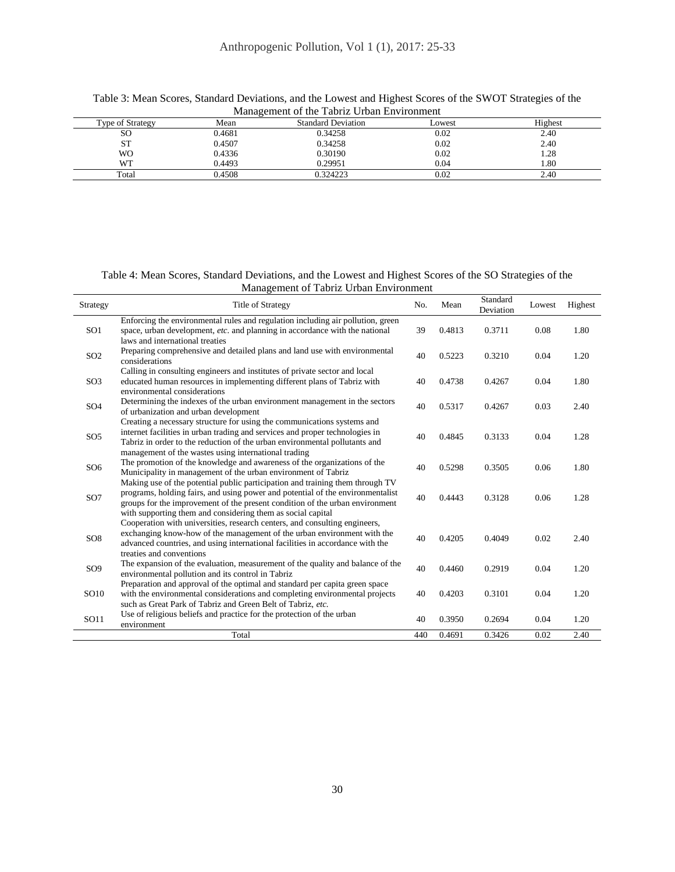| wianagement of the Tabliz Orban Environment |        |                           |        |         |  |  |  |  |
|---------------------------------------------|--------|---------------------------|--------|---------|--|--|--|--|
| Type of Strategy                            | Mean   | <b>Standard Deviation</b> | Lowest | Highest |  |  |  |  |
| SΟ                                          | 0.4681 | 0.34258                   | 0.02   | 2.40    |  |  |  |  |
| ST                                          | 0.4507 | 0.34258                   | 0.02   | 2.40    |  |  |  |  |
| WO                                          | 0.4336 | 0.30190                   | 0.02   | .28     |  |  |  |  |
| <b>WT</b>                                   | 0.4493 | 0.29951                   | 0.04   | 1.80    |  |  |  |  |
| Total                                       | 0.4508 | 0.324223                  | 0.02   | 2.40    |  |  |  |  |

Table 3: Mean Scores, Standard Deviations, and the Lowest and Highest Scores of the SWOT Strategies of the Management of the Tabriz Urban Environment

Table 4: Mean Scores, Standard Deviations, and the Lowest and Highest Scores of the SO Strategies of the Management of Tabriz Urban Environment

| Strategy        | <b>Title of Strategy</b>                                                                                                                                       | No. | Mean   | Standard<br>Deviation | Lowest | Highest |
|-----------------|----------------------------------------------------------------------------------------------------------------------------------------------------------------|-----|--------|-----------------------|--------|---------|
| SO <sub>1</sub> | Enforcing the environmental rules and regulation including air pollution, green<br>space, urban development, etc. and planning in accordance with the national | 39  | 0.4813 | 0.3711                | 0.08   | 1.80    |
|                 | laws and international treaties                                                                                                                                |     |        |                       |        |         |
| SO <sub>2</sub> | Preparing comprehensive and detailed plans and land use with environmental<br>considerations                                                                   | 40  | 0.5223 | 0.3210                | 0.04   | 1.20    |
|                 | Calling in consulting engineers and institutes of private sector and local                                                                                     |     |        |                       |        |         |
| SO <sub>3</sub> | educated human resources in implementing different plans of Tabriz with<br>environmental considerations                                                        | 40  | 0.4738 | 0.4267                | 0.04   | 1.80    |
| SO <sub>4</sub> | Determining the indexes of the urban environment management in the sectors<br>of urbanization and urban development                                            | 40  | 0.5317 | 0.4267                | 0.03   | 2.40    |
|                 | Creating a necessary structure for using the communications systems and                                                                                        |     |        |                       |        |         |
| SO <sub>5</sub> | internet facilities in urban trading and services and proper technologies in                                                                                   | 40  | 0.4845 | 0.3133                | 0.04   | 1.28    |
|                 | Tabriz in order to the reduction of the urban environmental pollutants and<br>management of the wastes using international trading                             |     |        |                       |        |         |
| SO <sub>6</sub> | The promotion of the knowledge and awareness of the organizations of the                                                                                       | 40  | 0.5298 | 0.3505                | 0.06   | 1.80    |
|                 | Municipality in management of the urban environment of Tabriz                                                                                                  |     |        |                       |        |         |
|                 | Making use of the potential public participation and training them through TV                                                                                  |     |        |                       |        |         |
| SO <sub>7</sub> | programs, holding fairs, and using power and potential of the environmentalist<br>groups for the improvement of the present condition of the urban environment | 40  | 0.4443 | 0.3128                | 0.06   | 1.28    |
|                 | with supporting them and considering them as social capital                                                                                                    |     |        |                       |        |         |
|                 | Cooperation with universities, research centers, and consulting engineers,                                                                                     |     |        |                       |        |         |
| SO <sub>8</sub> | exchanging know-how of the management of the urban environment with the                                                                                        | 40  | 0.4205 | 0.4049                | 0.02   | 2.40    |
|                 | advanced countries, and using international facilities in accordance with the<br>treaties and conventions                                                      |     |        |                       |        |         |
|                 | The expansion of the evaluation, measurement of the quality and balance of the                                                                                 |     |        |                       |        |         |
| SO <sub>9</sub> | environmental pollution and its control in Tabriz                                                                                                              | 40  | 0.4460 | 0.2919                | 0.04   | 1.20    |
|                 | Preparation and approval of the optimal and standard per capita green space                                                                                    |     |        |                       |        |         |
| SO10            | with the environmental considerations and completing environmental projects                                                                                    | 40  | 0.4203 | 0.3101                | 0.04   | 1.20    |
|                 | such as Great Park of Tabriz and Green Belt of Tabriz, etc.                                                                                                    |     |        |                       |        |         |
| SO11            | Use of religious beliefs and practice for the protection of the urban<br>environment                                                                           | 40  | 0.3950 | 0.2694                | 0.04   | 1.20    |
|                 | Total                                                                                                                                                          | 440 | 0.4691 | 0.3426                | 0.02   | 2.40    |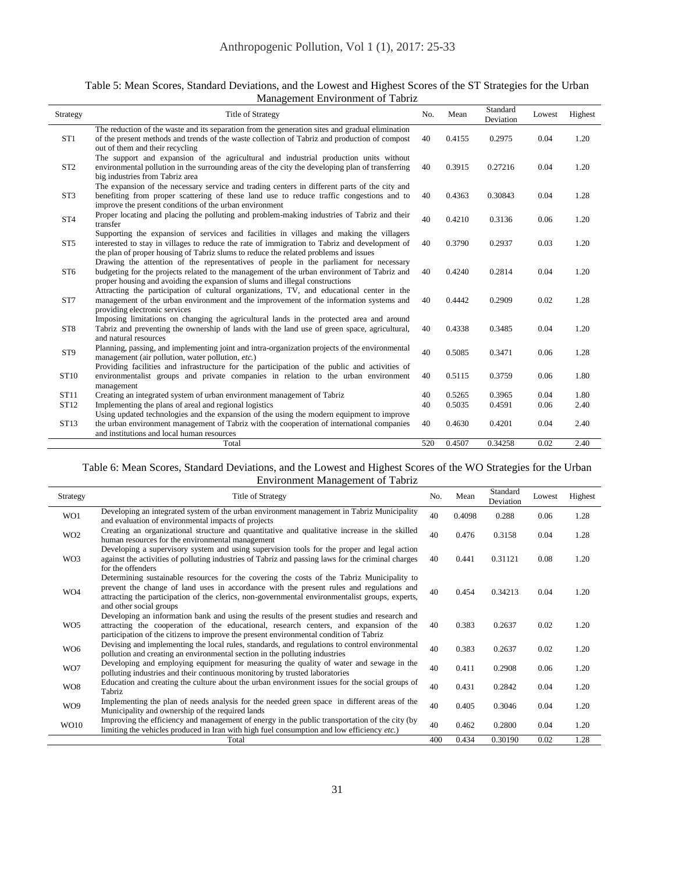| Table 5: Mean Scores, Standard Deviations, and the Lowest and Highest Scores of the ST Strategies for the Urban |
|-----------------------------------------------------------------------------------------------------------------|
| Management Environment of Tabriz                                                                                |

| Strategy        | <b>Title of Strategy</b>                                                                                                                                                                                                                                                          | No. | Mean   | Standard<br>Deviation | Lowest | Highest |
|-----------------|-----------------------------------------------------------------------------------------------------------------------------------------------------------------------------------------------------------------------------------------------------------------------------------|-----|--------|-----------------------|--------|---------|
| ST <sub>1</sub> | The reduction of the waste and its separation from the generation sites and gradual elimination<br>of the present methods and trends of the waste collection of Tabriz and production of compost<br>out of them and their recycling                                               | 40  | 0.4155 | 0.2975                | 0.04   | 1.20    |
| ST <sub>2</sub> | The support and expansion of the agricultural and industrial production units without<br>environmental pollution in the surrounding areas of the city the developing plan of transferring<br>big industries from Tabriz area                                                      | 40  | 0.3915 | 0.27216               | 0.04   | 1.20    |
| ST <sub>3</sub> | The expansion of the necessary service and trading centers in different parts of the city and<br>benefiting from proper scattering of these land use to reduce traffic congestions and to<br>improve the present conditions of the urban environment                              | 40  | 0.4363 | 0.30843               | 0.04   | 1.28    |
| ST <sub>4</sub> | Proper locating and placing the polluting and problem-making industries of Tabriz and their<br>transfer                                                                                                                                                                           | 40  | 0.4210 | 0.3136                | 0.06   | 1.20    |
| ST <sub>5</sub> | Supporting the expansion of services and facilities in villages and making the villagers<br>interested to stay in villages to reduce the rate of immigration to Tabriz and development of<br>the plan of proper housing of Tabriz slums to reduce the related problems and issues | 40  | 0.3790 | 0.2937                | 0.03   | 1.20    |
| ST <sub>6</sub> | Drawing the attention of the representatives of people in the parliament for necessary<br>budgeting for the projects related to the management of the urban environment of Tabriz and<br>proper housing and avoiding the expansion of slums and illegal constructions             | 40  | 0.4240 | 0.2814                | 0.04   | 1.20    |
| ST7             | Attracting the participation of cultural organizations, TV, and educational center in the<br>management of the urban environment and the improvement of the information systems and<br>providing electronic services                                                              | 40  | 0.4442 | 0.2909                | 0.02   | 1.28    |
| ST <sub>8</sub> | Imposing limitations on changing the agricultural lands in the protected area and around<br>Tabriz and preventing the ownership of lands with the land use of green space, agricultural,<br>and natural resources                                                                 | 40  | 0.4338 | 0.3485                | 0.04   | 1.20    |
| ST <sub>9</sub> | Planning, passing, and implementing joint and intra-organization projects of the environmental<br>management (air pollution, water pollution, etc.)                                                                                                                               | 40  | 0.5085 | 0.3471                | 0.06   | 1.28    |
| ST10            | Providing facilities and infrastructure for the participation of the public and activities of<br>environmentalist groups and private companies in relation to the urban environment<br>management                                                                                 | 40  | 0.5115 | 0.3759                | 0.06   | 1.80    |
| ST11            | Creating an integrated system of urban environment management of Tabriz                                                                                                                                                                                                           | 40  | 0.5265 | 0.3965                | 0.04   | 1.80    |
| ST12            | Implementing the plans of areal and regional logistics                                                                                                                                                                                                                            | 40  | 0.5035 | 0.4591                | 0.06   | 2.40    |
|                 | Using updated technologies and the expansion of the using the modern equipment to improve                                                                                                                                                                                         |     |        |                       |        |         |
| ST13            | the urban environment management of Tabriz with the cooperation of international companies<br>and institutions and local human resources                                                                                                                                          | 40  | 0.4630 | 0.4201                | 0.04   | 2.40    |
|                 | Total                                                                                                                                                                                                                                                                             | 520 | 0.4507 | 0.34258               | 0.02   | 2.40    |

#### Table 6: Mean Scores, Standard Deviations, and the Lowest and Highest Scores of the WO Strategies for the Urban Environment Management of Tabriz

| Strategy        | <b>Title of Strategy</b>                                                                                                                                                                                                                                                                                             | No. | Mean   | Standard<br>Deviation | Lowest | Highest |
|-----------------|----------------------------------------------------------------------------------------------------------------------------------------------------------------------------------------------------------------------------------------------------------------------------------------------------------------------|-----|--------|-----------------------|--------|---------|
| WO1             | Developing an integrated system of the urban environment management in Tabriz Municipality<br>and evaluation of environmental impacts of projects                                                                                                                                                                    | 40  | 0.4098 | 0.288                 | 0.06   | 1.28    |
| WO <sub>2</sub> | Creating an organizational structure and quantitative and qualitative increase in the skilled<br>human resources for the environmental management                                                                                                                                                                    | 40  | 0.476  | 0.3158                | 0.04   | 1.28    |
| WO3             | Developing a supervisory system and using supervision tools for the proper and legal action<br>against the activities of polluting industries of Tabriz and passing laws for the criminal charges<br>for the offenders                                                                                               | 40  | 0.441  | 0.31121               | 0.08   | 1.20    |
| WO4             | Determining sustainable resources for the covering the costs of the Tabriz Municipality to<br>prevent the change of land uses in accordance with the present rules and regulations and<br>attracting the participation of the clerics, non-governmental environmentalist groups, experts,<br>and other social groups | 40  | 0.454  | 0.34213               | 0.04   | 1.20    |
| WO <sub>5</sub> | Developing an information bank and using the results of the present studies and research and<br>attracting the cooperation of the educational, research centers, and expansion of the<br>participation of the citizens to improve the present environmental condition of Tabriz                                      | 40  | 0.383  | 0.2637                | 0.02   | 1.20    |
| WO <sub>6</sub> | Devising and implementing the local rules, standards, and regulations to control environmental<br>pollution and creating an environmental section in the polluting industries                                                                                                                                        | 40  | 0.383  | 0.2637                | 0.02   | 1.20    |
| WO7             | Developing and employing equipment for measuring the quality of water and sewage in the<br>polluting industries and their continuous monitoring by trusted laboratories                                                                                                                                              | 40  | 0.411  | 0.2908                | 0.06   | 1.20    |
| WO <sub>8</sub> | Education and creating the culture about the urban environment issues for the social groups of<br>Tabriz                                                                                                                                                                                                             | 40  | 0.431  | 0.2842                | 0.04   | 1.20    |
| WO9             | Implementing the plan of needs analysis for the needed green space in different areas of the<br>Municipality and ownership of the required lands                                                                                                                                                                     | 40  | 0.405  | 0.3046                | 0.04   | 1.20    |
| WO10            | Improving the efficiency and management of energy in the public transportation of the city (by<br>limiting the vehicles produced in Iran with high fuel consumption and low efficiency etc.)                                                                                                                         | 40  | 0.462  | 0.2800                | 0.04   | 1.20    |
|                 | Total                                                                                                                                                                                                                                                                                                                | 400 | 0.434  | 0.30190               | 0.02   | 1.28    |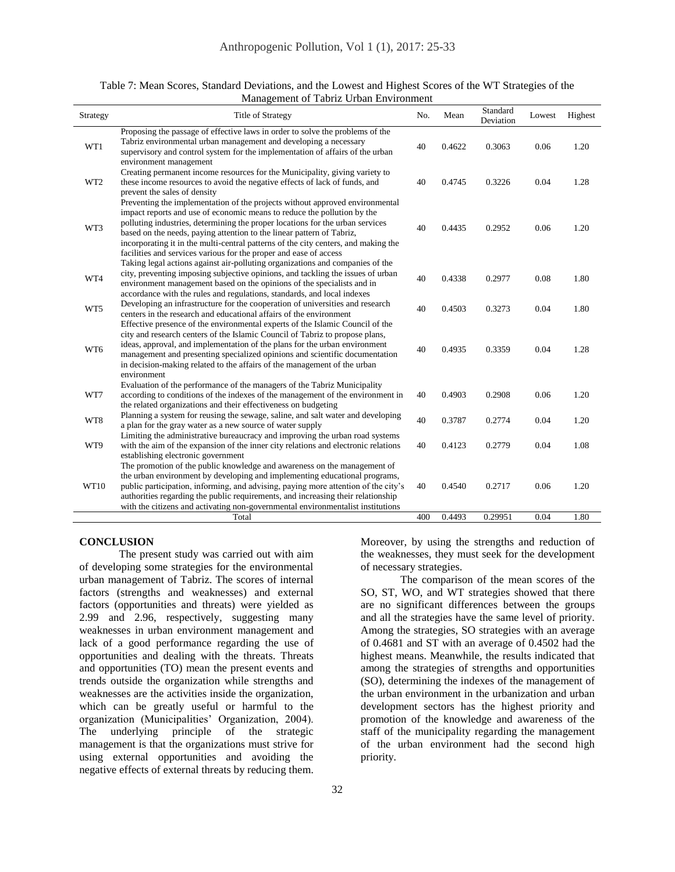| Strategy        | <b>Title of Strategy</b>                                                                                                                                                                                                                                                                                                                                                                                                                                                     | No.       | Mean             | Standard<br>Deviation | Lowest       | Highest      |
|-----------------|------------------------------------------------------------------------------------------------------------------------------------------------------------------------------------------------------------------------------------------------------------------------------------------------------------------------------------------------------------------------------------------------------------------------------------------------------------------------------|-----------|------------------|-----------------------|--------------|--------------|
| WT1             | Proposing the passage of effective laws in order to solve the problems of the<br>Tabriz environmental urban management and developing a necessary<br>supervisory and control system for the implementation of affairs of the urban<br>environment management                                                                                                                                                                                                                 | 40        | 0.4622           | 0.3063                | 0.06         | 1.20         |
| WT <sub>2</sub> | Creating permanent income resources for the Municipality, giving variety to<br>these income resources to avoid the negative effects of lack of funds, and<br>prevent the sales of density                                                                                                                                                                                                                                                                                    | 40        | 0.4745           | 0.3226                | 0.04         | 1.28         |
| WT3             | Preventing the implementation of the projects without approved environmental<br>impact reports and use of economic means to reduce the pollution by the<br>polluting industries, determining the proper locations for the urban services<br>based on the needs, paying attention to the linear pattern of Tabriz,<br>incorporating it in the multi-central patterns of the city centers, and making the<br>facilities and services various for the proper and ease of access | 40        | 0.4435           | 0.2952                | 0.06         | 1.20         |
| WT4             | Taking legal actions against air-polluting organizations and companies of the<br>city, preventing imposing subjective opinions, and tackling the issues of urban<br>environment management based on the opinions of the specialists and in<br>accordance with the rules and regulations, standards, and local indexes                                                                                                                                                        | 40        | 0.4338           | 0.2977                | 0.08         | 1.80         |
| WT5             | Developing an infrastructure for the cooperation of universities and research<br>centers in the research and educational affairs of the environment                                                                                                                                                                                                                                                                                                                          | 40        | 0.4503           | 0.3273                | 0.04         | 1.80         |
| WT6             | Effective presence of the environmental experts of the Islamic Council of the<br>city and research centers of the Islamic Council of Tabriz to propose plans,<br>ideas, approval, and implementation of the plans for the urban environment<br>management and presenting specialized opinions and scientific documentation<br>in decision-making related to the affairs of the management of the urban                                                                       | 40        | 0.4935           | 0.3359                | 0.04         | 1.28         |
|                 | environment<br>Evaluation of the performance of the managers of the Tabriz Municipality                                                                                                                                                                                                                                                                                                                                                                                      |           |                  |                       |              |              |
| WT7             | according to conditions of the indexes of the management of the environment in<br>the related organizations and their effectiveness on budgeting                                                                                                                                                                                                                                                                                                                             | 40        | 0.4903           | 0.2908                | 0.06         | 1.20         |
| WT8             | Planning a system for reusing the sewage, saline, and salt water and developing<br>a plan for the gray water as a new source of water supply                                                                                                                                                                                                                                                                                                                                 | 40        | 0.3787           | 0.2774                | 0.04         | 1.20         |
| WT9             | Limiting the administrative bureaucracy and improving the urban road systems<br>with the aim of the expansion of the inner city relations and electronic relations<br>establishing electronic government                                                                                                                                                                                                                                                                     | 40        | 0.4123           | 0.2779                | 0.04         | 1.08         |
| WT10            | The promotion of the public knowledge and awareness on the management of<br>the urban environment by developing and implementing educational programs,<br>public participation, informing, and advising, paying more attention of the city's<br>authorities regarding the public requirements, and increasing their relationship<br>with the citizens and activating non-governmental environmentalist institutions<br>Total                                                 | 40<br>400 | 0.4540<br>0.4493 | 0.2717<br>0.29951     | 0.06<br>0.04 | 1.20<br>1.80 |

Table 7: Mean Scores, Standard Deviations, and the Lowest and Highest Scores of the WT Strategies of the Management of Tabriz Urban Environment

#### **CONCLUSION**

The present study was carried out with aim of developing some strategies for the environmental urban management of Tabriz. The scores of internal factors (strengths and weaknesses) and external factors (opportunities and threats) were yielded as 2.99 and 2.96, respectively, suggesting many weaknesses in urban environment management and lack of a good performance regarding the use of opportunities and dealing with the threats. Threats and opportunities (TO) mean the present events and trends outside the organization while strengths and weaknesses are the activities inside the organization, which can be greatly useful or harmful to the organization (Municipalities' Organization, 2004). The underlying principle of the strategic management is that the organizations must strive for using external opportunities and avoiding the negative effects of external threats by reducing them.

Moreover, by using the strengths and reduction of the weaknesses, they must seek for the development of necessary strategies.

The comparison of the mean scores of the SO, ST, WO, and WT strategies showed that there are no significant differences between the groups and all the strategies have the same level of priority. Among the strategies, SO strategies with an average of 0.4681 and ST with an average of 0.4502 had the highest means. Meanwhile, the results indicated that among the strategies of strengths and opportunities (SO), determining the indexes of the management of the urban environment in the urbanization and urban development sectors has the highest priority and promotion of the knowledge and awareness of the staff of the municipality regarding the management of the urban environment had the second high priority.